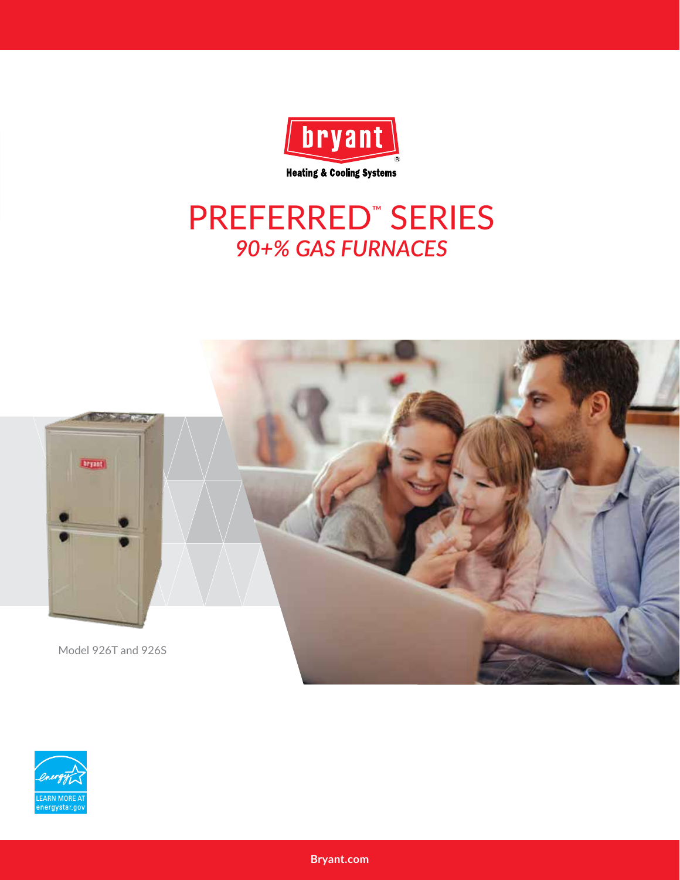

### **PREFERRED" SERIES** 90+% GAS FURNACES



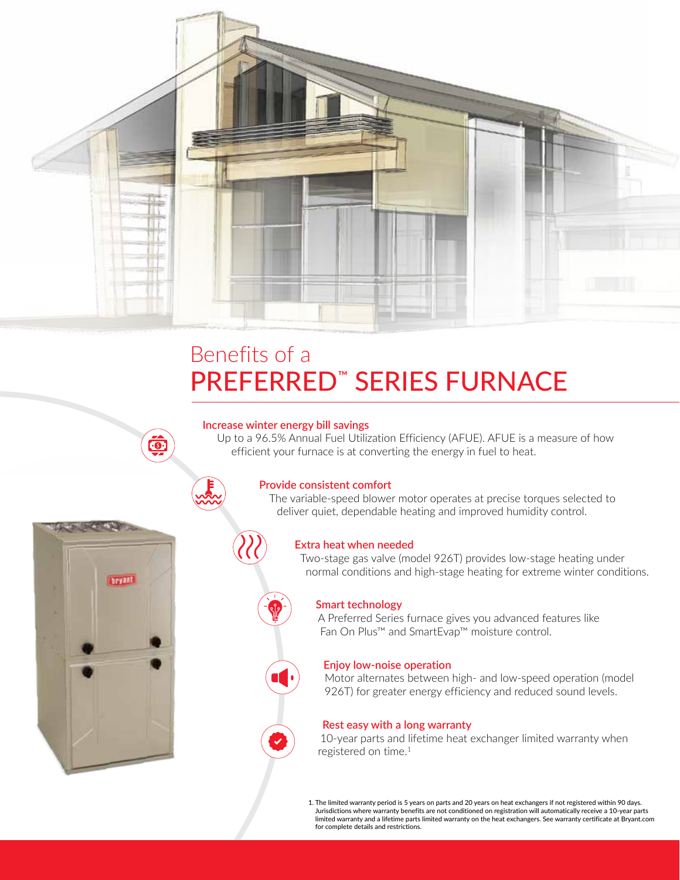

### Benefits of a PREFERRED™ SERIES FURNACE

#### **Increase winter energy bill savings**

Up to a 96.5% Annual Fuel Utilization Efficiency (AFUE). AFUE is a measure of how efficient your furnace is at converting the energy in fuel to heat.



#### **Provide consistent comfort**

The variable-speed blower motor operates at precise torques selected to deliver quiet, dependable heating and improved humidity control.



#### **Extra heat when needed**

Two-stage gas valve (model 926T) provides low-stage heating under normal conditions and high-stage heating for extreme winter conditions.



#### **Smart technology**

A Preferred Series furnace gives you advanced features like Fan On Plus™ and SmartEvap™ moisture control.



Motor alternates between high- and low-speed operation (model 926T) for greater energy efficiency and reduced sound levels.



10-year parts and lifetime heat exchanger limited warranty when registered on time.1

1. The limited warranty period is 5 years on parts and 20 years on heat exchangers if not registered within 90 days. Jurisdictions where warranty benefits are not conditioned on registration will automatically receive a 10-year parts limited warranty and a lifetime parts limited warranty on the heat exchangers. See warranty certificate at Bryant.com for complete details and restrictions.

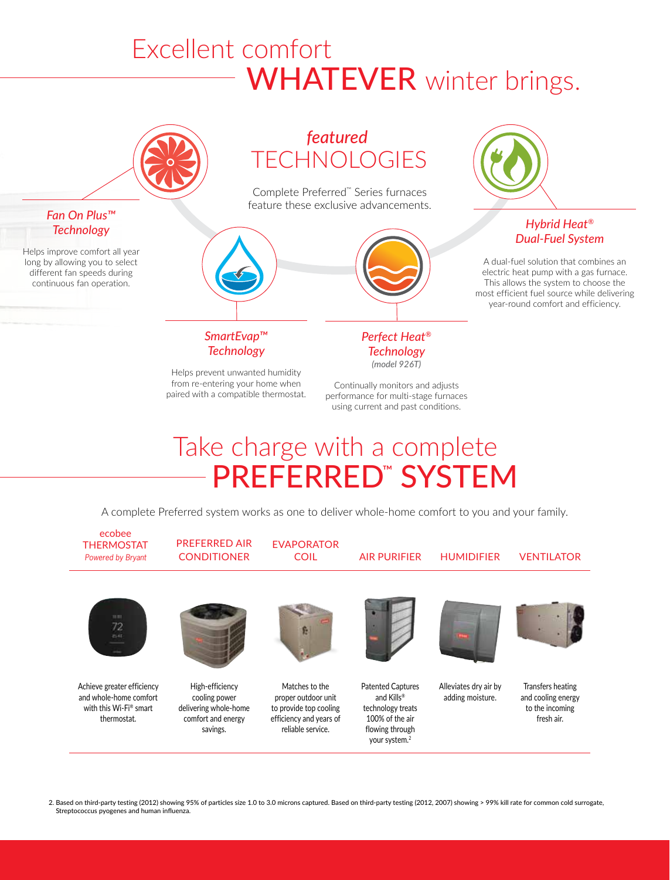## WHATEVER winter brings. Excellent comfort



# Take charge with a complete PREFERRED™ SYSTEM

A complete Preferred system works as one to deliver whole-home comfort to you and your family.



2. Based on third-party testing (2012) showing 95% of particles size 1.0 to 3.0 microns captured. Based on third-party testing (2012, 2007) showing > 99% kill rate for common cold surrogate, Streptococcus pyogenes and human influenza.